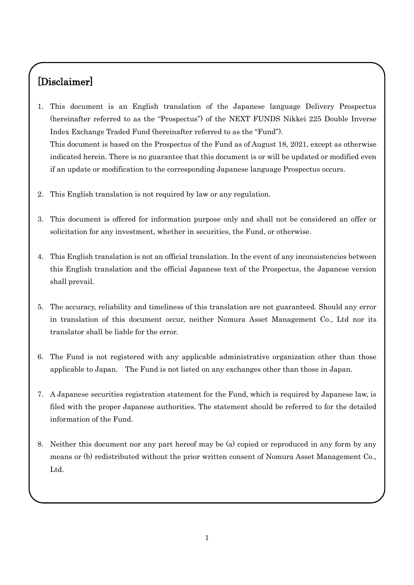# [Disclaimer]

- 1. This document is an English translation of the Japanese language Delivery Prospectus (hereinafter referred to as the "Prospectus") of the NEXT FUNDS Nikkei 225 Double Inverse Index Exchange Traded Fund (hereinafter referred to as the "Fund"). This document is based on the Prospectus of the Fund as of August 18, 2021, except as otherwise indicated herein. There is no guarantee that this document is or will be updated or modified even if an update or modification to the corresponding Japanese language Prospectus occurs.
- 2. This English translation is not required by law or any regulation.
- 3. This document is offered for information purpose only and shall not be considered an offer or solicitation for any investment, whether in securities, the Fund, or otherwise.
- 4. This English translation is not an official translation. In the event of any inconsistencies between this English translation and the official Japanese text of the Prospectus, the Japanese version shall prevail.
- 5. The accuracy, reliability and timeliness of this translation are not guaranteed. Should any error in translation of this document occur, neither Nomura Asset Management Co., Ltd nor its translator shall be liable for the error.
- 6. The Fund is not registered with any applicable administrative organization other than those applicable to Japan. The Fund is not listed on any exchanges other than those in Japan.
- 7. A Japanese securities registration statement for the Fund, which is required by Japanese law, is filed with the proper Japanese authorities. The statement should be referred to for the detailed information of the Fund.
- 8. Neither this document nor any part hereof may be (a) copied or reproduced in any form by any means or (b) redistributed without the prior written consent of Nomura Asset Management Co., Ltd.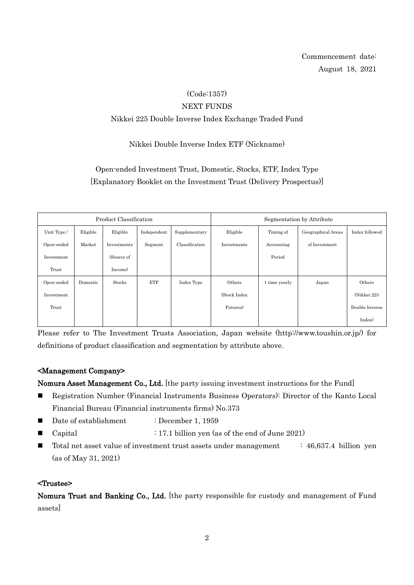Commencement date: August 18, 2021

## (Code:1357)

#### NEXT FUNDS

## Nikkei 225 Double Inverse Index Exchange Traded Fund

## Nikkei Double Inverse Index ETF (Nickname)

## Open-ended Investment Trust, Domestic, Stocks, ETF, Index Type [Explanatory Booklet on the Investment Trust (Delivery Prospectus)]

| Product Classification |          |               |             | Segmentation by Attribute |              |               |                    |                |
|------------------------|----------|---------------|-------------|---------------------------|--------------|---------------|--------------------|----------------|
| Unit Type /            | Eligible | Eligible      | Independent | Supplementary             | Eligible     | Timing of     | Geographical Areas | Index followed |
| Open-ended             | Market   | Investments   | Segment     | Classification            | Investments  | Accounting    | of Investment      |                |
| Investment             |          | (Source of    |             |                           |              | Period        |                    |                |
| Trust                  |          | Income)       |             |                           |              |               |                    |                |
| Open-ended             | Domestic | <b>Stocks</b> | ETF         | Index Type                | Others       | 1 time yearly | Japan              | Others         |
| Investment             |          |               |             |                           | (Stock Index |               |                    | (Nikkei 225    |
| Trust                  |          |               |             |                           | Futures)     |               |                    | Double Inverse |
|                        |          |               |             |                           |              |               |                    | Index)         |

Please refer to The Investment Trusts Association, Japan website (http://www.toushin.or.jp/) for definitions of product classification and segmentation by attribute above.

### <Management Company>

Nomura Asset Management Co., Ltd. [the party issuing investment instructions for the Fund]

- Registration Number (Financial Instruments Business Operators): Director of the Kanto Local Financial Bureau (Financial instruments firms) No.373
- Date of establishment : December 1, 1959
- Capital : 17.1 billion yen (as of the end of June 2021)
- $\blacksquare$  Total net asset value of investment trust assets under management : 46,637.4 billion yen (as of May 31, 2021)

#### <Trustee>

Nomura Trust and Banking Co., Ltd. [the party responsible for custody and management of Fund assets]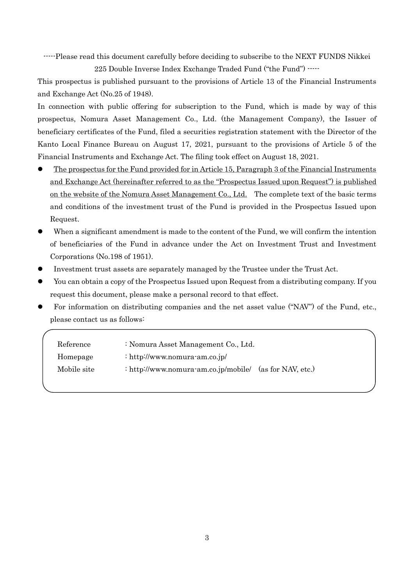-----Please read this document carefully before deciding to subscribe to the NEXT FUNDS Nikkei 225 Double Inverse Index Exchange Traded Fund ("the Fund") -----

This prospectus is published pursuant to the provisions of Article 13 of the Financial Instruments and Exchange Act (No.25 of 1948).

In connection with public offering for subscription to the Fund, which is made by way of this prospectus, Nomura Asset Management Co., Ltd. (the Management Company), the Issuer of beneficiary certificates of the Fund, filed a securities registration statement with the Director of the Kanto Local Finance Bureau on August 17, 2021, pursuant to the provisions of Article 5 of the Financial Instruments and Exchange Act. The filing took effect on August 18, 2021.

- The prospectus for the Fund provided for in Article 15, Paragraph 3 of the Financial Instruments and Exchange Act (hereinafter referred to as the "Prospectus Issued upon Request") is published on the website of the Nomura Asset Management Co., Ltd. The complete text of the basic terms and conditions of the investment trust of the Fund is provided in the Prospectus Issued upon Request.
- When a significant amendment is made to the content of the Fund, we will confirm the intention of beneficiaries of the Fund in advance under the Act on Investment Trust and Investment Corporations (No.198 of 1951).
- Investment trust assets are separately managed by the Trustee under the Trust Act.
- You can obtain a copy of the Prospectus Issued upon Request from a distributing company. If you request this document, please make a personal record to that effect.
- For information on distributing companies and the net asset value ("NAV") of the Fund, etc., please contact us as follows:

| Reference   | : Nomura Asset Management Co., Ltd.                       |  |
|-------------|-----------------------------------------------------------|--|
| Homepage    | : http://www.nomura-am.co.jp/                             |  |
| Mobile site | : http://www.nomura-am.co.jp/mobile/ $(as for NAV, etc.)$ |  |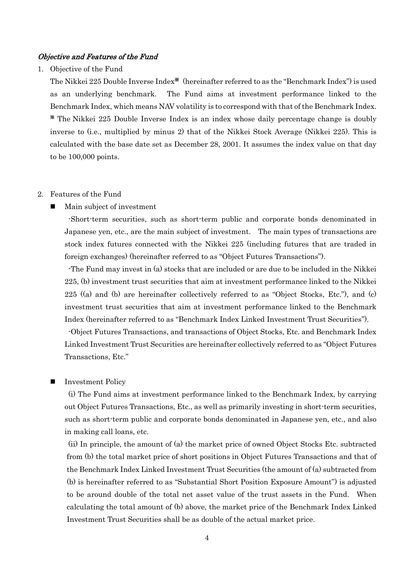#### Objective and Features of the Fund

1. Objective of the Fund

The Nikkei 225 Double Inverse Index※ (hereinafter referred to as the "Benchmark Index") is used as an underlying benchmark. The Fund aims at investment performance linked to the Benchmark Index, which means NAV volatility is to correspond with that of the Benchmark Index. ※ The Nikkei 225 Double Inverse Index is an index whose daily percentage change is doubly inverse to (i.e., multiplied by minus 2) that of the Nikkei Stock Average (Nikkei 225). This is calculated with the base date set as December 28, 2001. It assumes the index value on that day to be 100,000 points.

#### 2. Features of the Fund

Main subject of investment

-Short-term securities, such as short-term public and corporate bonds denominated in Japanese yen, etc., are the main subject of investment. The main types of transactions are stock index futures connected with the Nikkei 225 (including futures that are traded in foreign exchanges) (hereinafter referred to as "Object Futures Transactions").

-The Fund may invest in (a) stocks that are included or are due to be included in the Nikkei 225, (b) investment trust securities that aim at investment performance linked to the Nikkei 225 ((a) and (b) are hereinafter collectively referred to as "Object Stocks, Etc."), and (c) investment trust securities that aim at investment performance linked to the Benchmark Index (hereinafter referred to as "Benchmark Index Linked Investment Trust Securities").

-Object Futures Transactions, and transactions of Object Stocks, Etc. and Benchmark Index Linked Investment Trust Securities are hereinafter collectively referred to as "Object Futures Transactions, Etc."

#### Investment Policy

(i) The Fund aims at investment performance linked to the Benchmark Index, by carrying out Object Futures Transactions, Etc., as well as primarily investing in short-term securities, such as short-term public and corporate bonds denominated in Japanese yen, etc., and also in making call loans, etc.

(ii) In principle, the amount of (a) the market price of owned Object Stocks Etc. subtracted from (b) the total market price of short positions in Object Futures Transactions and that of the Benchmark Index Linked Investment Trust Securities (the amount of (a) subtracted from (b) is hereinafter referred to as "Substantial Short Position Exposure Amount") is adjusted to be around double of the total net asset value of the trust assets in the Fund. When calculating the total amount of (b) above, the market price of the Benchmark Index Linked Investment Trust Securities shall be as double of the actual market price.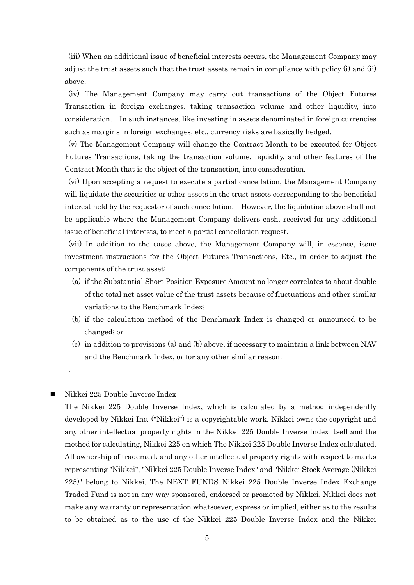(iii) When an additional issue of beneficial interests occurs, the Management Company may adjust the trust assets such that the trust assets remain in compliance with policy (i) and (ii) above.

(iv) The Management Company may carry out transactions of the Object Futures Transaction in foreign exchanges, taking transaction volume and other liquidity, into consideration. In such instances, like investing in assets denominated in foreign currencies such as margins in foreign exchanges, etc., currency risks are basically hedged.

(v) The Management Company will change the Contract Month to be executed for Object Futures Transactions, taking the transaction volume, liquidity, and other features of the Contract Month that is the object of the transaction, into consideration.

(vi) Upon accepting a request to execute a partial cancellation, the Management Company will liquidate the securities or other assets in the trust assets corresponding to the beneficial interest held by the requestor of such cancellation. However, the liquidation above shall not be applicable where the Management Company delivers cash, received for any additional issue of beneficial interests, to meet a partial cancellation request.

(vii) In addition to the cases above, the Management Company will, in essence, issue investment instructions for the Object Futures Transactions, Etc., in order to adjust the components of the trust asset:

- (a) if the Substantial Short Position Exposure Amount no longer correlates to about double of the total net asset value of the trust assets because of fluctuations and other similar variations to the Benchmark Index;
- (b) if the calculation method of the Benchmark Index is changed or announced to be changed; or
- (c) in addition to provisions (a) and (b) above, if necessary to maintain a link between NAV and the Benchmark Index, or for any other similar reason.

#### $\blacksquare$  Nikkei 225 Double Inverse Index

.

The Nikkei 225 Double Inverse Index, which is calculated by a method independently developed by Nikkei Inc. ("Nikkei") is a copyrightable work. Nikkei owns the copyright and any other intellectual property rights in the Nikkei 225 Double Inverse Index itself and the method for calculating, Nikkei 225 on which The Nikkei 225 Double Inverse Index calculated. All ownership of trademark and any other intellectual property rights with respect to marks representing "Nikkei", "Nikkei 225 Double Inverse Index" and "Nikkei Stock Average (Nikkei 225)" belong to Nikkei. The NEXT FUNDS Nikkei 225 Double Inverse Index Exchange Traded Fund is not in any way sponsored, endorsed or promoted by Nikkei. Nikkei does not make any warranty or representation whatsoever, express or implied, either as to the results to be obtained as to the use of the Nikkei 225 Double Inverse Index and the Nikkei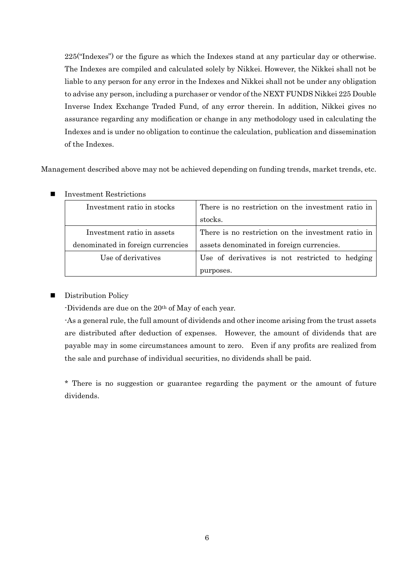225("Indexes") or the figure as which the Indexes stand at any particular day or otherwise. The Indexes are compiled and calculated solely by Nikkei. However, the Nikkei shall not be liable to any person for any error in the Indexes and Nikkei shall not be under any obligation to advise any person, including a purchaser or vendor of the NEXT FUNDS Nikkei 225 Double Inverse Index Exchange Traded Fund, of any error therein. In addition, Nikkei gives no assurance regarding any modification or change in any methodology used in calculating the Indexes and is under no obligation to continue the calculation, publication and dissemination of the Indexes.

Management described above may not be achieved depending on funding trends, market trends, etc.

| Investment ratio in stocks        | There is no restriction on the investment ratio in |  |  |
|-----------------------------------|----------------------------------------------------|--|--|
|                                   | stocks.                                            |  |  |
| Investment ratio in assets        | There is no restriction on the investment ratio in |  |  |
| denominated in foreign currencies | assets denominated in foreign currencies.          |  |  |
| Use of derivatives                | Use of derivatives is not restricted to hedging    |  |  |
|                                   | purposes.                                          |  |  |

**Investment Restrictions** 

### **Distribution Policy**

-Dividends are due on the 20th of May of each year.

-As a general rule, the full amount of dividends and other income arising from the trust assets are distributed after deduction of expenses. However, the amount of dividends that are payable may in some circumstances amount to zero. Even if any profits are realized from the sale and purchase of individual securities, no dividends shall be paid.

\* There is no suggestion or guarantee regarding the payment or the amount of future dividends.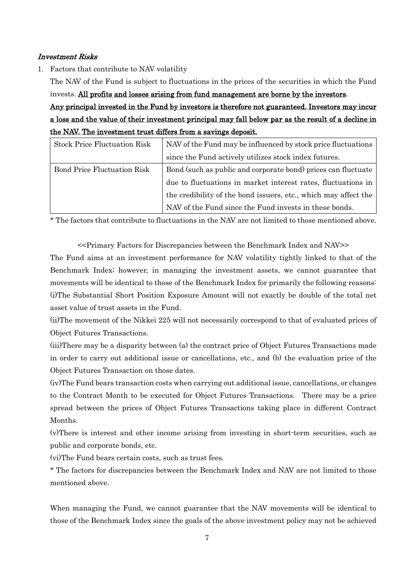#### Investment Risks

1. Factors that contribute to NAV volatility

The NAV of the Fund is subject to fluctuations in the prices of the securities in which the Fund invests. All profits and losses arising from fund management are borne by the investors.

Any principal invested in the Fund by investors is therefore not guaranteed. Investors may incur a loss and the value of their investment principal may fall below par as the result of a decline in the NAV. The investment trust differs from a savings deposit.

| <b>Stock Price Fluctuation Risk</b> | NAV of the Fund may be influenced by stock price fluctuations   |  |  |
|-------------------------------------|-----------------------------------------------------------------|--|--|
|                                     | since the Fund actively utilizes stock index futures.           |  |  |
| <b>Bond Price Fluctuation Risk</b>  | Bond (such as public and corporate bond) prices can fluctuate   |  |  |
|                                     | due to fluctuations in market interest rates, fluctuations in   |  |  |
|                                     | the credibility of the bond issuers, etc., which may affect the |  |  |
|                                     | NAV of the Fund since the Fund invests in these bonds.          |  |  |

\* The factors that contribute to fluctuations in the NAV are not limited to those mentioned above.

<<Primary Factors for Discrepancies between the Benchmark Index and NAV>>

The Fund aims at an investment performance for NAV volatility tightly linked to that of the Benchmark Index; however, in managing the investment assets, we cannot guarantee that movements will be identical to those of the Benchmark Index for primarily the following reasons: (i)The Substantial Short Position Exposure Amount will not exactly be double of the total net asset value of trust assets in the Fund.

(ii)The movement of the Nikkei 225 will not necessarily correspond to that of evaluated prices of Object Futures Transactions.

(iii)There may be a disparity between (a) the contract price of Object Futures Transactions made in order to carry out additional issue or cancellations, etc., and (b) the evaluation price of the Object Futures Transaction on those dates.

(iv)The Fund bears transaction costs when carrying out additional issue, cancellations, or changes to the Contract Month to be executed for Object Futures Transactions. There may be a price spread between the prices of Object Futures Transactions taking place in different Contract Months.

(v)There is interest and other income arising from investing in short-term securities, such as public and corporate bonds, etc.

(vi)The Fund bears certain costs, such as trust fees.

\* The factors for discrepancies between the Benchmark Index and NAV are not limited to those mentioned above.

When managing the Fund, we cannot guarantee that the NAV movements will be identical to those of the Benchmark Index since the goals of the above investment policy may not be achieved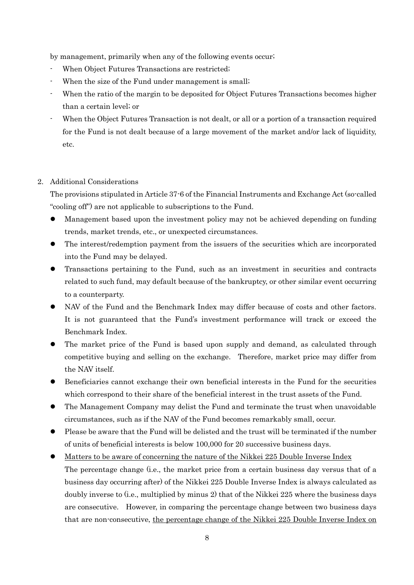by management, primarily when any of the following events occur;

- When Object Futures Transactions are restricted;
- When the size of the Fund under management is small;
- When the ratio of the margin to be deposited for Object Futures Transactions becomes higher than a certain level; or
- When the Object Futures Transaction is not dealt, or all or a portion of a transaction required for the Fund is not dealt because of a large movement of the market and/or lack of liquidity, etc.

#### 2. Additional Considerations

The provisions stipulated in Article 37-6 of the Financial Instruments and Exchange Act (so-called "cooling off") are not applicable to subscriptions to the Fund.

- Management based upon the investment policy may not be achieved depending on funding trends, market trends, etc., or unexpected circumstances.
- The interest/redemption payment from the issuers of the securities which are incorporated into the Fund may be delayed.
- Transactions pertaining to the Fund, such as an investment in securities and contracts related to such fund, may default because of the bankruptcy, or other similar event occurring to a counterparty.
- NAV of the Fund and the Benchmark Index may differ because of costs and other factors. It is not guaranteed that the Fund's investment performance will track or exceed the Benchmark Index.
- The market price of the Fund is based upon supply and demand, as calculated through competitive buying and selling on the exchange. Therefore, market price may differ from the NAV itself.
- Beneficiaries cannot exchange their own beneficial interests in the Fund for the securities which correspond to their share of the beneficial interest in the trust assets of the Fund.
- The Management Company may delist the Fund and terminate the trust when unavoidable circumstances, such as if the NAV of the Fund becomes remarkably small, occur.
- Please be aware that the Fund will be delisted and the trust will be terminated if the number of units of beneficial interests is below 100,000 for 20 successive business days.
- Matters to be aware of concerning the nature of the Nikkei 225 Double Inverse Index The percentage change (i.e., the market price from a certain business day versus that of a business day occurring after) of the Nikkei 225 Double Inverse Index is always calculated as doubly inverse to (i.e., multiplied by minus 2) that of the Nikkei 225 where the business days are consecutive. However, in comparing the percentage change between two business days that are non-consecutive, the percentage change of the Nikkei 225 Double Inverse Index on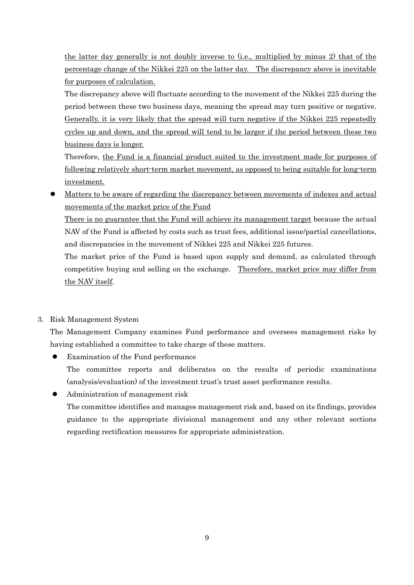the latter day generally is not doubly inverse to (i.e., multiplied by minus 2) that of the percentage change of the Nikkei 225 on the latter day. The discrepancy above is inevitable for purposes of calculation.

The discrepancy above will fluctuate according to the movement of the Nikkei 225 during the period between these two business days, meaning the spread may turn positive or negative. Generally, it is very likely that the spread will turn negative if the Nikkei 225 repeatedly cycles up and down, and the spread will tend to be larger if the period between these two business days is longer.

Therefore, the Fund is a financial product suited to the investment made for purposes of following relatively short-term market movement, as opposed to being suitable for long-term investment.

 Matters to be aware of regarding the discrepancy between movements of indexes and actual movements of the market price of the Fund

There is no guarantee that the Fund will achieve its management target because the actual NAV of the Fund is affected by costs such as trust fees, additional issue/partial cancellations, and discrepancies in the movement of Nikkei 225 and Nikkei 225 futures.

The market price of the Fund is based upon supply and demand, as calculated through competitive buying and selling on the exchange. Therefore, market price may differ from the NAV itself.

## 3. Risk Management System

The Management Company examines Fund performance and oversees management risks by having established a committee to take charge of these matters.

- Examination of the Fund performance The committee reports and deliberates on the results of periodic examinations (analysis/evaluation) of the investment trust's trust asset performance results.
- Administration of management risk

The committee identifies and manages management risk and, based on its findings, provides guidance to the appropriate divisional management and any other relevant sections regarding rectification measures for appropriate administration.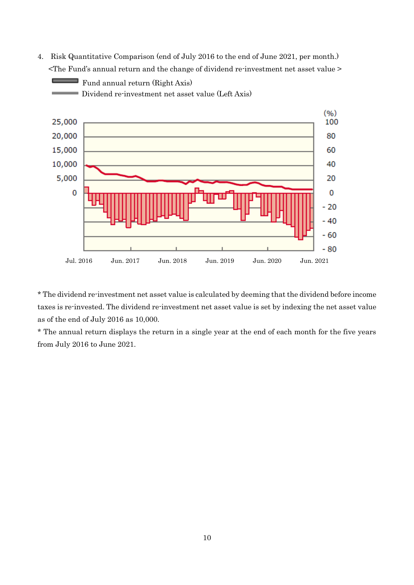4. Risk Quantitative Comparison (end of July 2016 to the end of June 2021, per month.) <The Fund's annual return and the change of dividend re-investment net asset value >

Fund annual return (Right Axis)



\* The dividend re-investment net asset value is calculated by deeming that the dividend before income taxes is re-invested. The dividend re-investment net asset value is set by indexing the net asset value as of the end of July 2016 as 10,000.

\* The annual return displays the return in a single year at the end of each month for the five years from July 2016 to June 2021.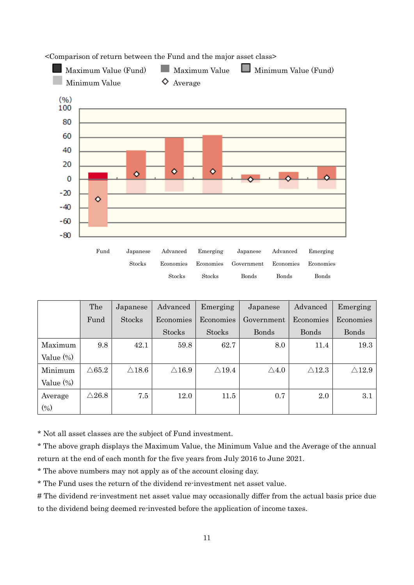

<Comparison of return between the Fund and the major asset class>

|              | The              | Japanese         | Advanced         | Emerging         | Japanese        | Advanced         | Emerging         |
|--------------|------------------|------------------|------------------|------------------|-----------------|------------------|------------------|
|              | Fund             | Stocks           | Economies        | Economies        | Government      | Economies        | Economies        |
|              |                  |                  | <b>Stocks</b>    | <b>Stocks</b>    | <b>Bonds</b>    | <b>Bonds</b>     | Bonds            |
| Maximum      | 9.8              | 42.1             | 59.8             | 62.7             | 8.0             | 11.4             | 19.3             |
| Value (%)    |                  |                  |                  |                  |                 |                  |                  |
| Minimum      | $\triangle 65.2$ | $\triangle 18.6$ | $\triangle 16.9$ | $\triangle$ 19.4 | $\triangle 4.0$ | $\triangle 12.3$ | $\triangle$ 12.9 |
| Value $(\%)$ |                  |                  |                  |                  |                 |                  |                  |
| Average      | $\triangle 26.8$ | 7.5              | 12.0             | 11.5             | 0.7             | 2.0              | $3.1\,$          |
| $(\%)$       |                  |                  |                  |                  |                 |                  |                  |

\* Not all asset classes are the subject of Fund investment.

\* The above graph displays the Maximum Value, the Minimum Value and the Average of the annual return at the end of each month for the five years from July 2016 to June 2021.

\* The above numbers may not apply as of the account closing day.

\* The Fund uses the return of the dividend re-investment net asset value.

# The dividend re-investment net asset value may occasionally differ from the actual basis price due to the dividend being deemed re-invested before the application of income taxes.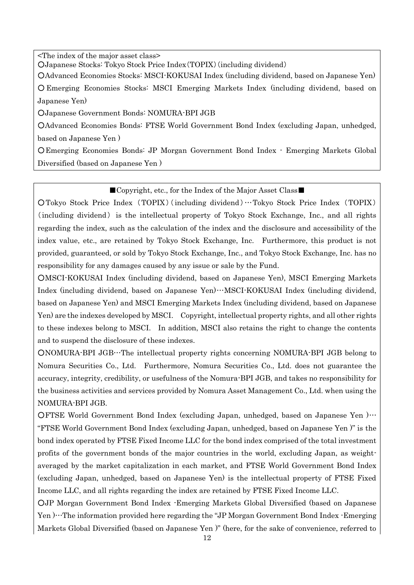<The index of the major asset class>

○Japanese Stocks: Tokyo Stock Price Index(TOPIX)(including dividend)

○Advanced Economies Stocks: MSCI-KOKUSAI Index (including dividend, based on Japanese Yen)

○ Emerging Economies Stocks: MSCI Emerging Markets Index (including dividend, based on Japanese Yen)

○Japanese Government Bonds: NOMURA-BPI JGB

○Advanced Economies Bonds: FTSE World Government Bond Index (excluding Japan, unhedged, based on Japanese Yen )

○Emerging Economies Bonds: JP Morgan Government Bond Index - Emerging Markets Global Diversified (based on Japanese Yen )

#### ■Copyright, etc., for the Index of the Major Asset Class■

○Tokyo Stock Price Index (TOPIX) (including dividend)…Tokyo Stock Price Index (TOPIX) (including dividend) is the intellectual property of Tokyo Stock Exchange, Inc., and all rights regarding the index, such as the calculation of the index and the disclosure and accessibility of the index value, etc., are retained by Tokyo Stock Exchange, Inc. Furthermore, this product is not provided, guaranteed, or sold by Tokyo Stock Exchange, Inc., and Tokyo Stock Exchange, Inc. has no responsibility for any damages caused by any issue or sale by the Fund.

○MSCI-KOKUSAI Index (including dividend, based on Japanese Yen), MSCI Emerging Markets Index (including dividend, based on Japanese Yen)…MSCI-KOKUSAI Index (including dividend, based on Japanese Yen) and MSCI Emerging Markets Index (including dividend, based on Japanese Yen) are the indexes developed by MSCI. Copyright, intellectual property rights, and all other rights to these indexes belong to MSCI. In addition, MSCI also retains the right to change the contents and to suspend the disclosure of these indexes.

○NOMURA-BPI JGB…The intellectual property rights concerning NOMURA-BPI JGB belong to Nomura Securities Co., Ltd. Furthermore, Nomura Securities Co., Ltd. does not guarantee the accuracy, integrity, credibility, or usefulness of the Nomura-BPI JGB, and takes no responsibility for the business activities and services provided by Nomura Asset Management Co., Ltd. when using the NOMURA-BPI JGB.

OFTSE World Government Bond Index (excluding Japan, unhedged, based on Japanese Yen )… "FTSE World Government Bond Index (excluding Japan, unhedged, based on Japanese Yen )" is the bond index operated by FTSE Fixed Income LLC for the bond index comprised of the total investment profits of the government bonds of the major countries in the world, excluding Japan, as weightaveraged by the market capitalization in each market, and FTSE World Government Bond Index (excluding Japan, unhedged, based on Japanese Yen) is the intellectual property of FTSE Fixed Income LLC, and all rights regarding the index are retained by FTSE Fixed Income LLC.

○JP Morgan Government Bond Index -Emerging Markets Global Diversified (based on Japanese Yen )…The information provided here regarding the "JP Morgan Government Bond Index -Emerging Markets Global Diversified (based on Japanese Yen )" (here, for the sake of convenience, referred to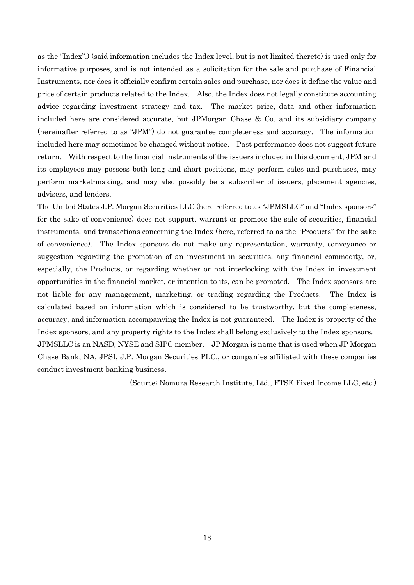as the "Index".) (said information includes the Index level, but is not limited thereto) is used only for informative purposes, and is not intended as a solicitation for the sale and purchase of Financial Instruments, nor does it officially confirm certain sales and purchase, nor does it define the value and price of certain products related to the Index. Also, the Index does not legally constitute accounting advice regarding investment strategy and tax. The market price, data and other information included here are considered accurate, but JPMorgan Chase & Co. and its subsidiary company (hereinafter referred to as "JPM") do not guarantee completeness and accuracy. The information included here may sometimes be changed without notice. Past performance does not suggest future return. With respect to the financial instruments of the issuers included in this document, JPM and its employees may possess both long and short positions, may perform sales and purchases, may perform market-making, and may also possibly be a subscriber of issuers, placement agencies, advisers, and lenders.

The United States J.P. Morgan Securities LLC (here referred to as "JPMSLLC" and "Index sponsors" for the sake of convenience) does not support, warrant or promote the sale of securities, financial instruments, and transactions concerning the Index (here, referred to as the "Products" for the sake of convenience). The Index sponsors do not make any representation, warranty, conveyance or suggestion regarding the promotion of an investment in securities, any financial commodity, or, especially, the Products, or regarding whether or not interlocking with the Index in investment opportunities in the financial market, or intention to its, can be promoted. The Index sponsors are not liable for any management, marketing, or trading regarding the Products. The Index is calculated based on information which is considered to be trustworthy, but the completeness, accuracy, and information accompanying the Index is not guaranteed. The Index is property of the Index sponsors, and any property rights to the Index shall belong exclusively to the Index sponsors. JPMSLLC is an NASD, NYSE and SIPC member. JP Morgan is name that is used when JP Morgan Chase Bank, NA, JPSI, J.P. Morgan Securities PLC., or companies affiliated with these companies conduct investment banking business.

(Source: Nomura Research Institute, Ltd., FTSE Fixed Income LLC, etc.)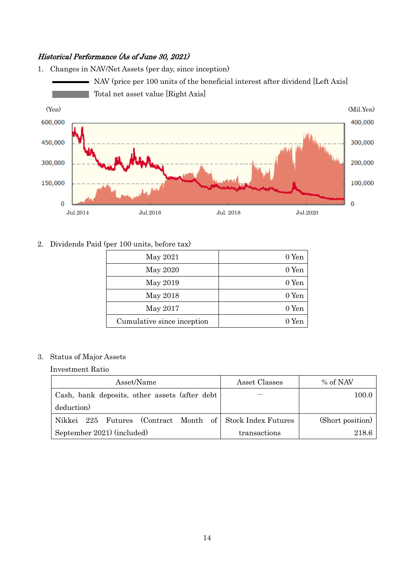### Historical Performance (As of June 30, 2021)

1. Changes in NAV/Net Assets (per day, since inception) NAV (price per 100 units of the beneficial interest after dividend [Left Axis] p. Total net asset value [Right Axis] (Yen) (Mil.Yen) 600,000 400,000 450,000 300,000 200,000 300,000 150,000 100,000  $\overline{0}$  $\mathbf 0$ 

Jul.2014 Jul.2016 Jul. 2018 Jul.2020

2. Dividends Paid (per 100 units, before tax)

| May 2021                   | 0 Yen |
|----------------------------|-------|
| May 2020                   | 0 Yen |
| May 2019                   | 0 Yen |
| May 2018                   | 0 Yen |
| May 2017                   | 0 Yen |
| Cumulative since inception | 0 Yen |

## 3. Status of Major Assets

Investment Ratio

| Asset/Name                                                | Asset Classes | % of NAV         |  |
|-----------------------------------------------------------|---------------|------------------|--|
| Cash, bank deposits, other assets (after debt)            |               | 100.0            |  |
| deduction)                                                |               |                  |  |
| Nikkei 225 Futures (Contract Month of Stock Index Futures |               | (Short position) |  |
| September 2021) (included)                                | transactions  | 218.6            |  |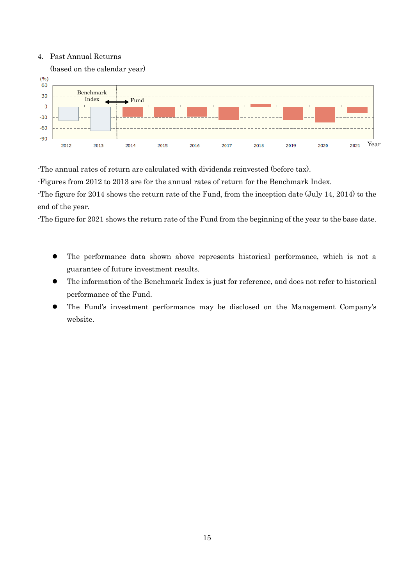#### 4. Past Annual Returns



-The annual rates of return are calculated with dividends reinvested (before tax).

-Figures from 2012 to 2013 are for the annual rates of return for the Benchmark Index.

-The figure for 2014 shows the return rate of the Fund, from the inception date (July 14, 2014) to the end of the year.

-The figure for 2021 shows the return rate of the Fund from the beginning of the year to the base date.

- The performance data shown above represents historical performance, which is not a guarantee of future investment results.
- The information of the Benchmark Index is just for reference, and does not refer to historical performance of the Fund.
- The Fund's investment performance may be disclosed on the Management Company's website.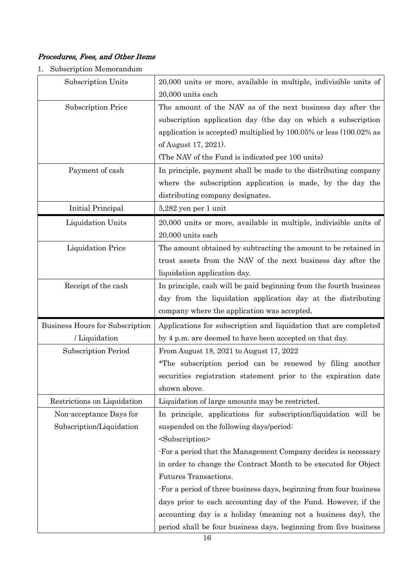## Procedures, Fees, and Other Items

1. Subscription Memorandum

| Subscription Units              | 20,000 units or more, available in multiple, indivisible units of  |  |  |
|---------------------------------|--------------------------------------------------------------------|--|--|
|                                 | $20,\!000$ units each                                              |  |  |
| <b>Subscription Price</b>       | The amount of the NAV as of the next business day after the        |  |  |
|                                 | subscription application day (the day on which a subscription      |  |  |
|                                 | application is accepted) multiplied by 100.05% or less (100.02% as |  |  |
|                                 | of August 17, 2021).                                               |  |  |
|                                 | (The NAV of the Fund is indicated per 100 units)                   |  |  |
| Payment of cash                 | In principle, payment shall be made to the distributing company    |  |  |
|                                 | where the subscription application is made, by the day the         |  |  |
|                                 | distributing company designates.                                   |  |  |
| Initial Principal               | 5,282 yen per 1 unit                                               |  |  |
| Liquidation Units               | 20,000 units or more, available in multiple, indivisible units of  |  |  |
|                                 | 20,000 units each                                                  |  |  |
| <b>Liquidation Price</b>        | The amount obtained by subtracting the amount to be retained in    |  |  |
|                                 | trust assets from the NAV of the next business day after the       |  |  |
|                                 | liquidation application day.                                       |  |  |
| Receipt of the cash             | In principle, cash will be paid beginning from the fourth business |  |  |
|                                 | day from the liquidation application day at the distributing       |  |  |
|                                 |                                                                    |  |  |
|                                 | company where the application was accepted.                        |  |  |
| Business Hours for Subscription | Applications for subscription and liquidation that are completed   |  |  |
| / Liquidation                   | by 4 p.m. are deemed to have been accepted on that day.            |  |  |
| <b>Subscription Period</b>      | From August 18, 2021 to August 17, 2022                            |  |  |
|                                 | *The subscription period can be renewed by filing another          |  |  |
|                                 | securities registration statement prior to the expiration date     |  |  |
|                                 | shown above.                                                       |  |  |
| Restrictions on Liquidation     | Liquidation of large amounts may be restricted.                    |  |  |
| Non-acceptance Days for         | In principle, applications for subscription/liquidation will be    |  |  |
| Subscription/Liquidation        | suspended on the following days/period:                            |  |  |
|                                 | <subscription></subscription>                                      |  |  |
|                                 | For a period that the Management Company decides is necessary      |  |  |
|                                 | in order to change the Contract Month to be executed for Object    |  |  |
|                                 | Futures Transactions.                                              |  |  |
|                                 | For a period of three business days, beginning from four business  |  |  |
|                                 | days prior to each accounting day of the Fund. However, if the     |  |  |
|                                 | accounting day is a holiday (meaning not a business day), the      |  |  |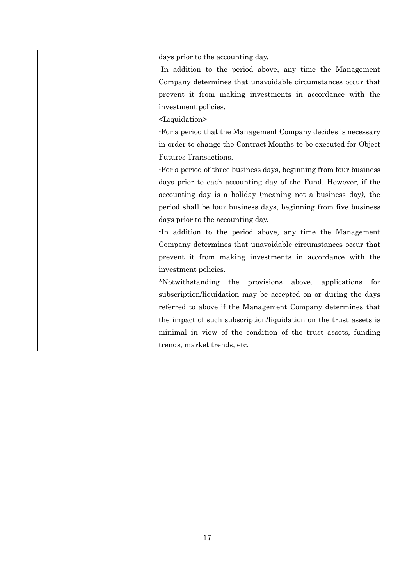| days prior to the accounting day.                                  |
|--------------------------------------------------------------------|
| In addition to the period above, any time the Management           |
| Company determines that unavoidable circumstances occur that       |
| prevent it from making investments in accordance with the          |
| investment policies.                                               |
| <liquidation></liquidation>                                        |
| -For a period that the Management Company decides is necessary     |
| in order to change the Contract Months to be executed for Object   |
| Futures Transactions.                                              |
| For a period of three business days, beginning from four business  |
| days prior to each accounting day of the Fund. However, if the     |
| accounting day is a holiday (meaning not a business day), the      |
| period shall be four business days, beginning from five business   |
| days prior to the accounting day.                                  |
| In addition to the period above, any time the Management           |
| Company determines that unavoidable circumstances occur that       |
| prevent it from making investments in accordance with the          |
| investment policies.                                               |
| *Notwithstanding the provisions<br>above,<br>applications<br>for   |
| subscription/liquidation may be accepted on or during the days     |
| referred to above if the Management Company determines that        |
| the impact of such subscription/liquidation on the trust assets is |
| minimal in view of the condition of the trust assets, funding      |
| trends, market trends, etc.                                        |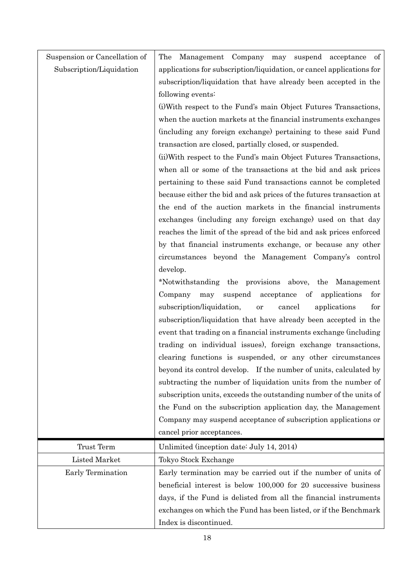| Suspension or Cancellation of | Management Company may suspend acceptance of<br>The                          |  |  |  |
|-------------------------------|------------------------------------------------------------------------------|--|--|--|
| Subscription/Liquidation      | applications for subscription/liquidation, or cancel applications for        |  |  |  |
|                               | subscription/liquidation that have already been accepted in the              |  |  |  |
|                               | following events:                                                            |  |  |  |
|                               | (i) With respect to the Fund's main Object Futures Transactions,             |  |  |  |
|                               | when the auction markets at the financial instruments exchanges              |  |  |  |
|                               | (including any foreign exchange) pertaining to these said Fund               |  |  |  |
|                               | transaction are closed, partially closed, or suspended.                      |  |  |  |
|                               | (ii) With respect to the Fund's main Object Futures Transactions,            |  |  |  |
|                               | when all or some of the transactions at the bid and ask prices               |  |  |  |
|                               | pertaining to these said Fund transactions cannot be completed               |  |  |  |
|                               | because either the bid and ask prices of the futures transaction at          |  |  |  |
|                               | the end of the auction markets in the financial instruments                  |  |  |  |
|                               | exchanges (including any foreign exchange) used on that day                  |  |  |  |
|                               | reaches the limit of the spread of the bid and ask prices enforced           |  |  |  |
|                               | by that financial instruments exchange, or because any other                 |  |  |  |
|                               | circumstances beyond the Management Company's control                        |  |  |  |
|                               | develop.                                                                     |  |  |  |
|                               | *Notwithstanding the provisions above, the Management                        |  |  |  |
|                               | $\sigma f$<br>Company<br>suspend<br>acceptance<br>applications<br>for<br>may |  |  |  |
|                               | subscription/liquidation,<br>cancel<br>applications<br>for<br><b>or</b>      |  |  |  |
|                               | subscription/liquidation that have already been accepted in the              |  |  |  |
|                               | event that trading on a financial instruments exchange (including            |  |  |  |
|                               | trading on individual issues), foreign exchange transactions,                |  |  |  |
|                               | clearing functions is suspended, or any other circumstances                  |  |  |  |
|                               | beyond its control develop. If the number of units, calculated by            |  |  |  |
|                               | subtracting the number of liquidation units from the number of               |  |  |  |
|                               | subscription units, exceeds the outstanding number of the units of           |  |  |  |
|                               | the Fund on the subscription application day, the Management                 |  |  |  |
|                               | Company may suspend acceptance of subscription applications or               |  |  |  |
|                               | cancel prior acceptances.                                                    |  |  |  |
| Trust Term                    | Unlimited (inception date: July 14, 2014)                                    |  |  |  |
| Listed Market                 | Tokyo Stock Exchange                                                         |  |  |  |
| Early Termination             | Early termination may be carried out if the number of units of               |  |  |  |
|                               | beneficial interest is below 100,000 for 20 successive business              |  |  |  |
|                               | days, if the Fund is delisted from all the financial instruments             |  |  |  |
|                               | exchanges on which the Fund has been listed, or if the Benchmark             |  |  |  |
|                               | Index is discontinued.                                                       |  |  |  |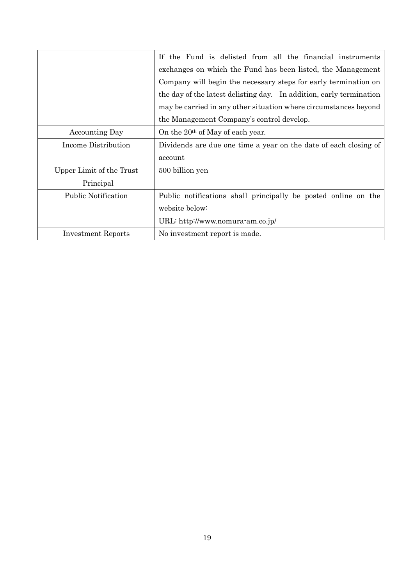|                            | If the Fund is delisted from all the financial instruments          |  |  |  |
|----------------------------|---------------------------------------------------------------------|--|--|--|
|                            | exchanges on which the Fund has been listed, the Management         |  |  |  |
|                            | Company will begin the necessary steps for early termination on     |  |  |  |
|                            | the day of the latest delisting day. In addition, early termination |  |  |  |
|                            | may be carried in any other situation where circumstances beyond    |  |  |  |
|                            | the Management Company's control develop.                           |  |  |  |
| <b>Accounting Day</b>      | On the 20 <sup>th</sup> of May of each year.                        |  |  |  |
| Income Distribution        | Dividends are due one time a year on the date of each closing of    |  |  |  |
|                            | account                                                             |  |  |  |
| Upper Limit of the Trust   | 500 billion yen                                                     |  |  |  |
| Principal                  |                                                                     |  |  |  |
| <b>Public Notification</b> | Public notifications shall principally be posted online on the      |  |  |  |
|                            | website below:                                                      |  |  |  |
|                            | URL: http://www.nomura-am.co.jp/                                    |  |  |  |
| <b>Investment Reports</b>  | No investment report is made.                                       |  |  |  |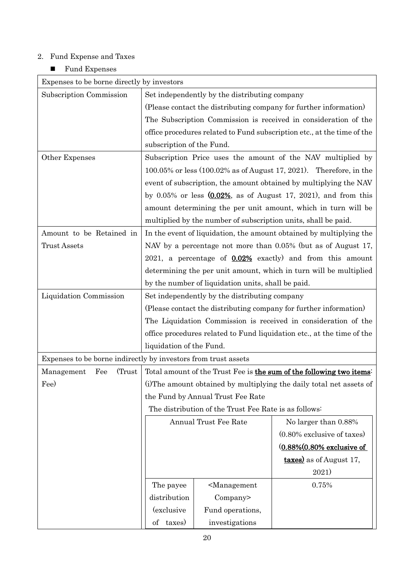## 2. Fund Expense and Taxes

## $\blacksquare$  <br> Fund Expenses

| Expenses to be borne directly by investors                     |                                                                         |                                                       |                                                                       |  |  |  |
|----------------------------------------------------------------|-------------------------------------------------------------------------|-------------------------------------------------------|-----------------------------------------------------------------------|--|--|--|
| Subscription Commission                                        | Set independently by the distributing company                           |                                                       |                                                                       |  |  |  |
|                                                                | (Please contact the distributing company for further information)       |                                                       |                                                                       |  |  |  |
|                                                                | The Subscription Commission is received in consideration of the         |                                                       |                                                                       |  |  |  |
|                                                                | office procedures related to Fund subscription etc., at the time of the |                                                       |                                                                       |  |  |  |
|                                                                | subscription of the Fund.                                               |                                                       |                                                                       |  |  |  |
| Other Expenses                                                 | Subscription Price uses the amount of the NAV multiplied by             |                                                       |                                                                       |  |  |  |
|                                                                | 100.05% or less $(100.02\%$ as of August 17, 2021). Therefore, in the   |                                                       |                                                                       |  |  |  |
|                                                                | event of subscription, the amount obtained by multiplying the NAV       |                                                       |                                                                       |  |  |  |
|                                                                |                                                                         |                                                       | by $0.05\%$ or less $(0.02\%$ , as of August 17, 2021), and from this |  |  |  |
|                                                                |                                                                         |                                                       | amount determining the per unit amount, which in turn will be         |  |  |  |
|                                                                |                                                                         |                                                       | multiplied by the number of subscription units, shall be paid.        |  |  |  |
| Amount to be Retained in                                       |                                                                         |                                                       | In the event of liquidation, the amount obtained by multiplying the   |  |  |  |
| <b>Trust Assets</b>                                            |                                                                         |                                                       | NAV by a percentage not more than 0.05% (but as of August 17,         |  |  |  |
|                                                                |                                                                         |                                                       | 2021, a percentage of 0.02% exactly) and from this amount             |  |  |  |
|                                                                |                                                                         |                                                       | determining the per unit amount, which in turn will be multiplied     |  |  |  |
|                                                                | by the number of liquidation units, shall be paid.                      |                                                       |                                                                       |  |  |  |
| Liquidation Commission                                         | Set independently by the distributing company                           |                                                       |                                                                       |  |  |  |
|                                                                | (Please contact the distributing company for further information)       |                                                       |                                                                       |  |  |  |
|                                                                | The Liquidation Commission is received in consideration of the          |                                                       |                                                                       |  |  |  |
|                                                                | office procedures related to Fund liquidation etc., at the time of the  |                                                       |                                                                       |  |  |  |
|                                                                | liquidation of the Fund.                                                |                                                       |                                                                       |  |  |  |
| Expenses to be borne indirectly by investors from trust assets |                                                                         |                                                       |                                                                       |  |  |  |
| Fee<br>(Trust)<br>Management                                   | Total amount of the Trust Fee is the sum of the following two items:    |                                                       |                                                                       |  |  |  |
| Fee)                                                           | (i) The amount obtained by multiplying the daily total net assets of    |                                                       |                                                                       |  |  |  |
|                                                                | the Fund by Annual Trust Fee Rate                                       |                                                       |                                                                       |  |  |  |
|                                                                |                                                                         | The distribution of the Trust Fee Rate is as follows: |                                                                       |  |  |  |
|                                                                | Annual Trust Fee Rate                                                   |                                                       | No larger than 0.88%                                                  |  |  |  |
|                                                                |                                                                         |                                                       | $(0.80\%$ exclusive of taxes)                                         |  |  |  |
|                                                                |                                                                         |                                                       | (0.88%(0.80% exclusive of                                             |  |  |  |
|                                                                |                                                                         |                                                       | <b>taxes</b> ) as of August 17,                                       |  |  |  |
|                                                                |                                                                         |                                                       | 2021)                                                                 |  |  |  |
|                                                                | The payee                                                               | <management< td=""><td>0.75%</td></management<>       | 0.75%                                                                 |  |  |  |
|                                                                | distribution                                                            | Company>                                              |                                                                       |  |  |  |
|                                                                | <i>(exclusive)</i>                                                      | Fund operations,                                      |                                                                       |  |  |  |
|                                                                | taxes)<br>$\mathrm{of}$                                                 | investigations                                        |                                                                       |  |  |  |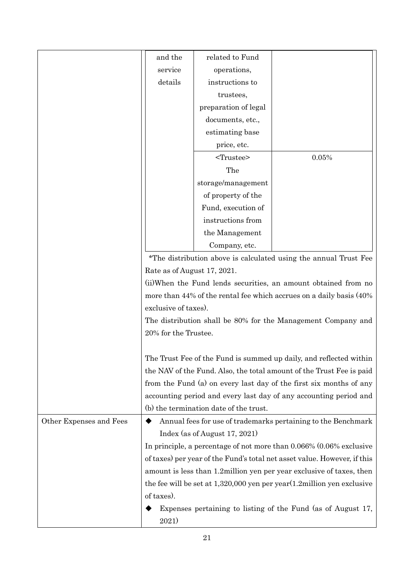|                         | and the                     | related to Fund                        |                                                                              |
|-------------------------|-----------------------------|----------------------------------------|------------------------------------------------------------------------------|
|                         | service                     | operations,                            |                                                                              |
|                         | details                     | instructions to                        |                                                                              |
|                         |                             | trustees,                              |                                                                              |
|                         |                             | preparation of legal                   |                                                                              |
|                         |                             | documents, etc.,                       |                                                                              |
|                         |                             | estimating base                        |                                                                              |
|                         |                             | price, etc.                            |                                                                              |
|                         |                             | $<$ Trustee $>$                        | 0.05%                                                                        |
|                         |                             | The                                    |                                                                              |
|                         |                             | storage/management                     |                                                                              |
|                         |                             | of property of the                     |                                                                              |
|                         |                             | Fund, execution of                     |                                                                              |
|                         |                             | instructions from                      |                                                                              |
|                         |                             | the Management                         |                                                                              |
|                         |                             | Company, etc.                          |                                                                              |
|                         |                             |                                        | *The distribution above is calculated using the annual Trust Fee             |
|                         | Rate as of August 17, 2021. |                                        |                                                                              |
|                         |                             |                                        | (ii) When the Fund lends securities, an amount obtained from no              |
|                         |                             |                                        | more than 44% of the rental fee which accrues on a daily basis (40%)         |
|                         | exclusive of taxes).        |                                        |                                                                              |
|                         |                             |                                        | The distribution shall be 80% for the Management Company and                 |
|                         | 20% for the Trustee.        |                                        |                                                                              |
|                         |                             |                                        |                                                                              |
|                         |                             |                                        | The Trust Fee of the Fund is summed up daily, and reflected within           |
|                         |                             |                                        | the NAV of the Fund. Also, the total amount of the Trust Fee is paid         |
|                         |                             |                                        | from the Fund (a) on every last day of the first six months of any           |
|                         |                             |                                        | accounting period and every last day of any accounting period and            |
|                         |                             | (b) the termination date of the trust. |                                                                              |
| Other Expenses and Fees | ◆                           |                                        | Annual fees for use of trademarks pertaining to the Benchmark                |
|                         |                             | Index (as of August 17, 2021)          |                                                                              |
|                         |                             |                                        | In principle, a percentage of not more than 0.066% (0.06% exclusive          |
|                         |                             |                                        | of taxes) per year of the Fund's total net asset value. However, if this     |
|                         |                             |                                        | amount is less than 1.2 million yen per year exclusive of taxes, then        |
|                         |                             |                                        | the fee will be set at $1,320,000$ yen per year $(1.2$ million yen exclusive |
|                         | of taxes).                  |                                        |                                                                              |
|                         |                             |                                        | Expenses pertaining to listing of the Fund (as of August 17,                 |
|                         | 2021)                       |                                        |                                                                              |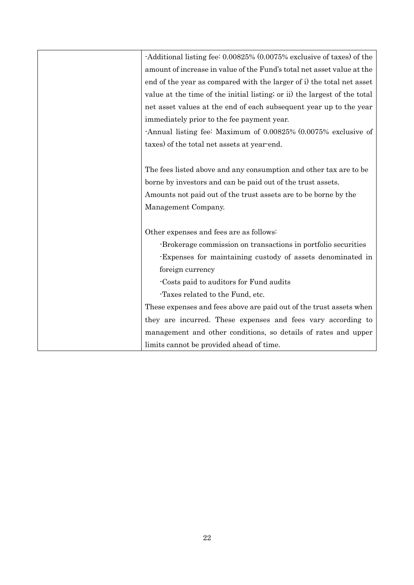| -Additional listing fee: 0.00825% (0.0075% exclusive of taxes) of the     |
|---------------------------------------------------------------------------|
| amount of increase in value of the Fund's total net asset value at the    |
| end of the year as compared with the larger of i) the total net asset     |
| value at the time of the initial listing; or ii) the largest of the total |
| net asset values at the end of each subsequent year up to the year        |
| immediately prior to the fee payment year.                                |
| -Annual listing fee: Maximum of 0.00825% (0.0075% exclusive of            |
| taxes) of the total net assets at year-end.                               |
|                                                                           |
| The fees listed above and any consumption and other tax are to be         |
| borne by investors and can be paid out of the trust assets.               |
| Amounts not paid out of the trust assets are to be borne by the           |
| Management Company.                                                       |
|                                                                           |
| Other expenses and fees are as follows:                                   |
| -Brokerage commission on transactions in portfolio securities             |
| -Expenses for maintaining custody of assets denominated in                |
| foreign currency                                                          |
| Costs paid to auditors for Fund audits                                    |
| -Taxes related to the Fund, etc.                                          |
| These expenses and fees above are paid out of the trust assets when       |
| they are incurred. These expenses and fees vary according to              |
| management and other conditions, so details of rates and upper            |
| limits cannot be provided ahead of time.                                  |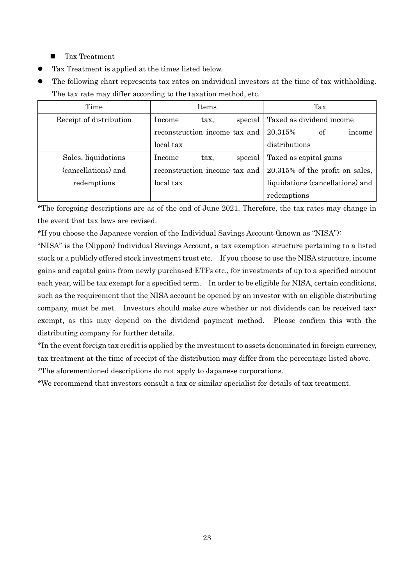- Tax Treatment
- Tax Treatment is applied at the times listed below.
- The following chart represents tax rates on individual investors at the time of tax withholding. The tax rate may differ according to the taxation method, etc.

| Time                    | <b>Items</b>                  | Tax                                |
|-------------------------|-------------------------------|------------------------------------|
| Receipt of distribution | special<br>Income<br>tax,     | Taxed as dividend income           |
|                         | reconstruction income tax and | 20.315%<br>of<br>income            |
|                         | local tax                     | distributions                      |
| Sales, liquidations     | special<br>Income<br>tax,     | Taxed as capital gains             |
| (cancellations) and     | reconstruction income tax and | $20.315\%$ of the profit on sales, |
| redemptions             | local tax                     | liquidations (cancellations) and   |
|                         |                               | redemptions                        |

\*The foregoing descriptions are as of the end of June 2021. Therefore, the tax rates may change in the event that tax laws are revised.

\*If you choose the Japanese version of the Individual Savings Account (known as "NISA"):

"NISA" is the (Nippon) Individual Savings Account, a tax exemption structure pertaining to a listed stock or a publicly offered stock investment trust etc. If you choose to use the NISA structure, income gains and capital gains from newly purchased ETFs etc., for investments of up to a specified amount each year, will be tax exempt for a specified term. In order to be eligible for NISA, certain conditions, such as the requirement that the NISA account be opened by an investor with an eligible distributing company, must be met. Investors should make sure whether or not dividends can be received taxexempt, as this may depend on the dividend payment method. Please confirm this with the distributing company for further details.

\*In the event foreign tax credit is applied by the investment to assets denominated in foreign currency, tax treatment at the time of receipt of the distribution may differ from the percentage listed above.

\*The aforementioned descriptions do not apply to Japanese corporations.

\*We recommend that investors consult a tax or similar specialist for details of tax treatment.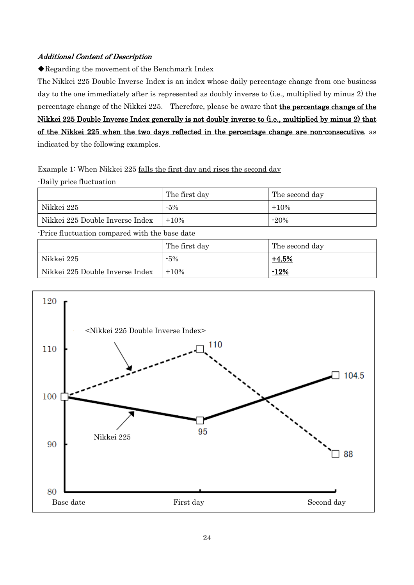## Additional Content of Description

◆Regarding the movement of the Benchmark Index

The Nikkei 225 Double Inverse Index is an index whose daily percentage change from one business day to the one immediately after is represented as doubly inverse to (i.e., multiplied by minus 2) the percentage change of the Nikkei 225. Therefore, please be aware that the percentage change of the Nikkei 225 Double Inverse Index generally is not doubly inverse to (i.e., multiplied by minus 2) that of the Nikkei 225 when the two days reflected in the percentage change are non-consecutive, as indicated by the following examples.

Example 1: When Nikkei 225 falls the first day and rises the second day

-Daily price fluctuation

|                                 | The first day | The second day |
|---------------------------------|---------------|----------------|
| Nikkei 225                      | $-5%$         | $+10%$         |
| Nikkei 225 Double Inverse Index | $+10%$        | $-20%$         |

-Price fluctuation compared with the base date

|                                 | The first day | The second day |
|---------------------------------|---------------|----------------|
| Nikkei 225                      | $-5%$         | $+4.5%$        |
| Nikkei 225 Double Inverse Index | $+10\%$       | $-12%$         |

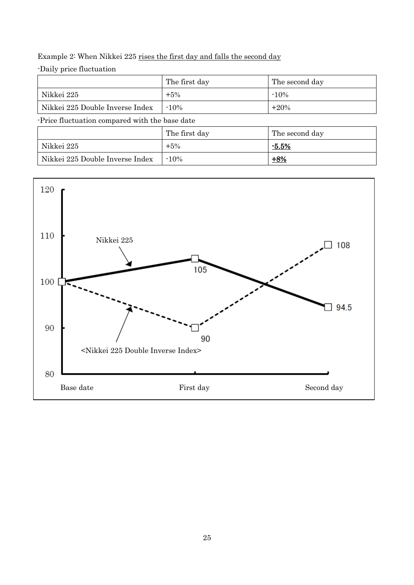## Example 2: When Nikkei 225 rises the first day and falls the second day

-Daily price fluctuation

|                                 | The first day | The second day |
|---------------------------------|---------------|----------------|
| Nikkei 225                      | $+5%$         | $-10%$         |
| Nikkei 225 Double Inverse Index | $-10%$        | $+20%$         |

-Price fluctuation compared with the base date

|                                 | The first day | The second day |
|---------------------------------|---------------|----------------|
| Nikkei 225                      | $+5\%$        | $-5.5%$        |
| Nikkei 225 Double Inverse Index | $-10%$        | $+8%$          |

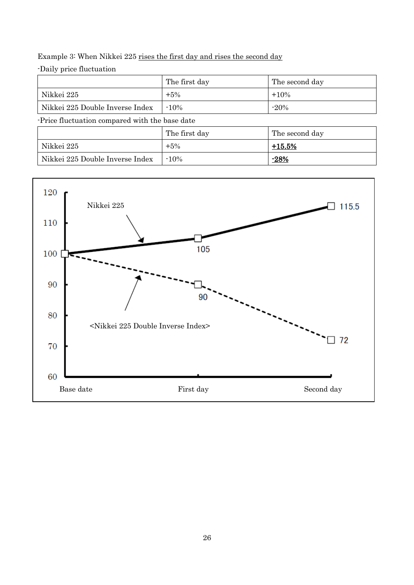Example 3: When Nikkei 225 rises the first day and rises the second day

-Daily price fluctuation

|                                 | The first day | The second day |
|---------------------------------|---------------|----------------|
| Nikkei 225                      | $+5\%$        | $+10%$         |
| Nikkei 225 Double Inverse Index | $-10%$        | $-20%$         |

-Price fluctuation compared with the base date

|                                 | The first day | The second day |
|---------------------------------|---------------|----------------|
| Nikkei 225                      | $+5\%$        | $+15.5%$       |
| Nikkei 225 Double Inverse Index | $-10%$        | <u>-28%</u>    |